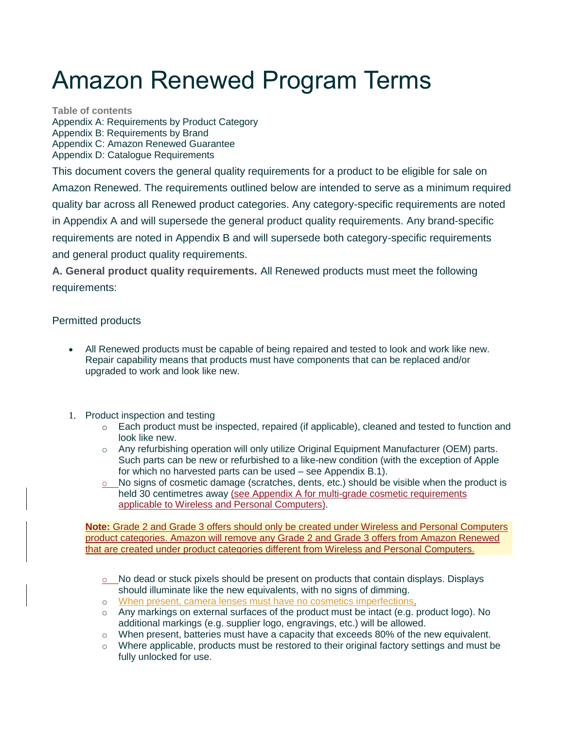# Amazon Renewed Program Terms

**Table of contents** Appendix A: Requirements by Product Category Appendix B: Requirements by Brand Appendix C: Amazon Renewed Guarantee Appendix D: Catalogue Requirements

This document covers the general quality requirements for a product to be eligible for sale on Amazon Renewed. The requirements outlined below are intended to serve as a minimum required quality bar across all Renewed product categories. Any category-specific requirements are noted in Appendix A and will supersede the general product quality requirements. Any brand-specific requirements are noted in Appendix B and will supersede both category-specific requirements and general product quality requirements.

**A. General product quality requirements.** All Renewed products must meet the following requirements:

#### Permitted products

- All Renewed products must be capable of being repaired and tested to look and work like new. Repair capability means that products must have components that can be replaced and/or upgraded to work and look like new.
- 1. Product inspection and testing
	- o Each product must be inspected, repaired (if applicable), cleaned and tested to function and look like new.
	- o Any refurbishing operation will only utilize Original Equipment Manufacturer (OEM) parts. Such parts can be new or refurbished to a like-new condition (with the exception of Apple for which no harvested parts can be used – see Appendix B.1).
	- $\circ$  No signs of cosmetic damage (scratches, dents, etc.) should be visible when the product is held 30 centimetres away (see Appendix A for multi-grade cosmetic requirements applicable to Wireless and Personal Computers).

**Note:** Grade 2 and Grade 3 offers should only be created under Wireless and Personal Computers product categories. Amazon will remove any Grade 2 and Grade 3 offers from Amazon Renewed that are created under product categories different from Wireless and Personal Computers.

- o No dead or stuck pixels should be present on products that contain displays. Displays should illuminate like the new equivalents, with no signs of dimming.
- o When present, camera lenses must have no cosmetics imperfections.
- $\circ$  Any markings on external surfaces of the product must be intact (e.g. product logo). No additional markings (e.g. supplier logo, engravings, etc.) will be allowed.
- $\circ$  When present, batteries must have a capacity that exceeds 80% of the new equivalent.
- $\circ$  Where applicable, products must be restored to their original factory settings and must be fully unlocked for use.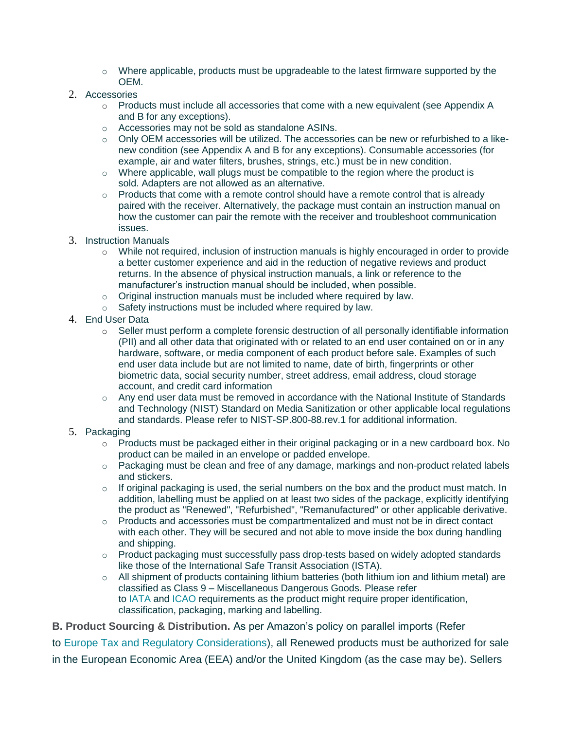- $\circ$  Where applicable, products must be upgradeable to the latest firmware supported by the OEM.
- 2. Accessories
	- $\circ$  Products must include all accessories that come with a new equivalent (see Appendix A and B for any exceptions).
	- o Accessories may not be sold as standalone ASINs.
	- o Only OEM accessories will be utilized. The accessories can be new or refurbished to a likenew condition (see Appendix A and B for any exceptions). Consumable accessories (for example, air and water filters, brushes, strings, etc.) must be in new condition.
	- $\circ$  Where applicable, wall plugs must be compatible to the region where the product is sold. Adapters are not allowed as an alternative.
	- $\circ$  Products that come with a remote control should have a remote control that is already paired with the receiver. Alternatively, the package must contain an instruction manual on how the customer can pair the remote with the receiver and troubleshoot communication issues.
- 3. Instruction Manuals
	- o While not required, inclusion of instruction manuals is highly encouraged in order to provide a better customer experience and aid in the reduction of negative reviews and product returns. In the absence of physical instruction manuals, a link or reference to the manufacturer's instruction manual should be included, when possible.
	- o Original instruction manuals must be included where required by law.
	- o Safety instructions must be included where required by law.
- 4. End User Data
	- $\circ$  Seller must perform a complete forensic destruction of all personally identifiable information (PII) and all other data that originated with or related to an end user contained on or in any hardware, software, or media component of each product before sale. Examples of such end user data include but are not limited to name, date of birth, fingerprints or other biometric data, social security number, street address, email address, cloud storage account, and credit card information
	- $\circ$  Any end user data must be removed in accordance with the National Institute of Standards and Technology (NIST) Standard on Media Sanitization or other applicable local regulations and standards. Please refer to NIST-SP.800-88.rev.1 for additional information.
- 5. Packaging
	- $\circ$  Products must be packaged either in their original packaging or in a new cardboard box. No product can be mailed in an envelope or padded envelope.
	- $\circ$  Packaging must be clean and free of any damage, markings and non-product related labels and stickers.
	- $\circ$  If original packaging is used, the serial numbers on the box and the product must match. In addition, labelling must be applied on at least two sides of the package, explicitly identifying the product as "Renewed", "Refurbished", "Remanufactured" or other applicable derivative.
	- $\circ$  Products and accessories must be compartmentalized and must not be in direct contact with each other. They will be secured and not able to move inside the box during handling and shipping.
	- $\circ$  Product packaging must successfully pass drop-tests based on widely adopted standards like those of the International Safe Transit Association (ISTA).
	- $\circ$  All shipment of products containing lithium batteries (both lithium ion and lithium metal) are classified as Class 9 – Miscellaneous Dangerous Goods. Please refer to [IATA](https://www.iata.org/Pages/default.aspx) and [ICAO](https://www.icao.int/Pages/default.aspx) requirements as the product might require proper identification, classification, packaging, marking and labelling.
- **B. Product Sourcing & Distribution.** As per Amazon's policy on parallel imports (Refer

to [Europe Tax and Regulatory Considerations\)](https://sellercentral-europe.amazon.com/gp/help/201468410), all Renewed products must be authorized for sale in the European Economic Area (EEA) and/or the United Kingdom (as the case may be). Sellers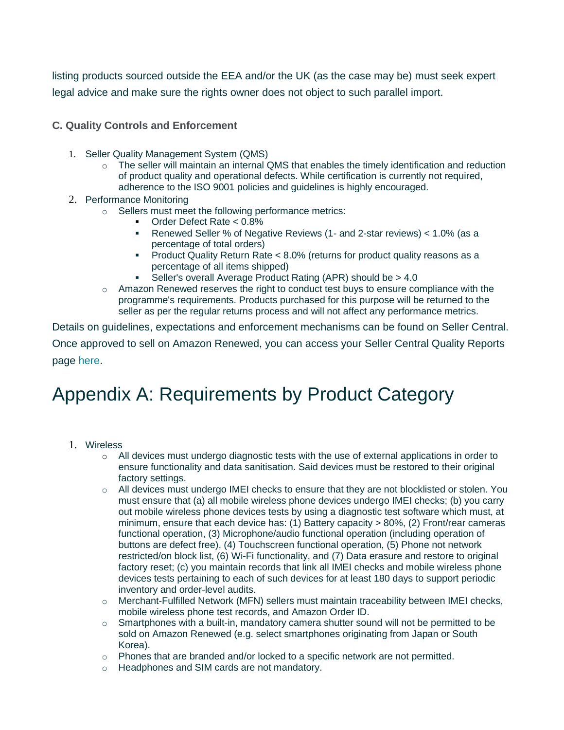listing products sourced outside the EEA and/or the UK (as the case may be) must seek expert legal advice and make sure the rights owner does not object to such parallel import.

**C. Quality Controls and Enforcement**

- 1. Seller Quality Management System (QMS)
	- o The seller will maintain an internal QMS that enables the timely identification and reduction of product quality and operational defects. While certification is currently not required, adherence to the ISO 9001 policies and guidelines is highly encouraged.
- 2. Performance Monitoring
	- o Sellers must meet the following performance metrics:
		- Order Defect Rate <  $0.8\%$
		- Renewed Seller % of Negative Reviews (1- and 2-star reviews) < 1.0% (as a percentage of total orders)
		- Product Quality Return Rate < 8.0% (returns for product quality reasons as a percentage of all items shipped)
		- Seller's overall Average Product Rating (APR) should be > 4.0
	- $\circ$  Amazon Renewed reserves the right to conduct test buys to ensure compliance with the programme's requirements. Products purchased for this purpose will be returned to the seller as per the regular returns process and will not affect any performance metrics.

Details on guidelines, expectations and enforcement mechanisms can be found on Seller Central. Once approved to sell on Amazon Renewed, you can access your Seller Central Quality Reports page [here.](https://sellercentral-europe.amazon.com/gc/renewed/quality-score-dashboard)

# Appendix A: Requirements by Product Category

- 1. Wireless
	- o All devices must undergo diagnostic tests with the use of external applications in order to ensure functionality and data sanitisation. Said devices must be restored to their original factory settings.
	- $\circ$  All devices must undergo IMEI checks to ensure that they are not blocklisted or stolen. You must ensure that (a) all mobile wireless phone devices undergo IMEI checks; (b) you carry out mobile wireless phone devices tests by using a diagnostic test software which must, at minimum, ensure that each device has: (1) Battery capacity > 80%, (2) Front/rear cameras functional operation, (3) Microphone/audio functional operation (including operation of buttons are defect free), (4) Touchscreen functional operation, (5) Phone not network restricted/on block list, (6) Wi-Fi functionality, and (7) Data erasure and restore to original factory reset; (c) you maintain records that link all IMEI checks and mobile wireless phone devices tests pertaining to each of such devices for at least 180 days to support periodic inventory and order-level audits.
	- $\circ$  Merchant-Fulfilled Network (MFN) sellers must maintain traceability between IMEI checks, mobile wireless phone test records, and Amazon Order ID.
	- $\circ$  Smartphones with a built-in, mandatory camera shutter sound will not be permitted to be sold on Amazon Renewed (e.g. select smartphones originating from Japan or South Korea).
	- $\circ$  Phones that are branded and/or locked to a specific network are not permitted.
	- o Headphones and SIM cards are not mandatory.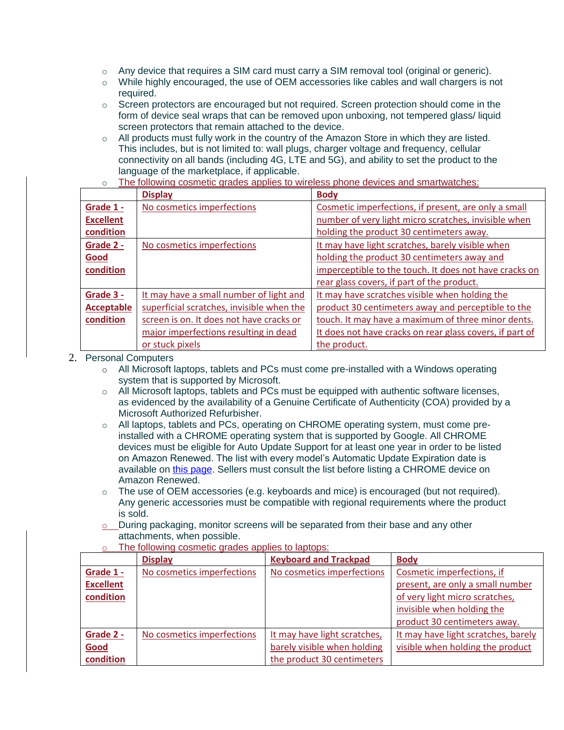- o Any device that requires a SIM card must carry a SIM removal tool (original or generic).
- o While highly encouraged, the use of OEM accessories like cables and wall chargers is not required.
- $\circ$  Screen protectors are encouraged but not required. Screen protection should come in the form of device seal wraps that can be removed upon unboxing, not tempered glass/ liquid screen protectors that remain attached to the device.
- $\circ$  All products must fully work in the country of the Amazon Store in which they are listed. This includes, but is not limited to: wall plugs, charger voltage and frequency, cellular connectivity on all bands (including 4G, LTE and 5G), and ability to set the product to the language of the marketplace, if applicable.
- o The following cosmetic grades applies to wireless phone devices and smartwatches:

|                   | <b>Display</b>                            | <b>Body</b>                                              |
|-------------------|-------------------------------------------|----------------------------------------------------------|
| Grade 1 -         | No cosmetics imperfections                | Cosmetic imperfections, if present, are only a small     |
| <b>Excellent</b>  |                                           | number of very light micro scratches, invisible when     |
| condition         |                                           | holding the product 30 centimeters away.                 |
| Grade 2 -         | No cosmetics imperfections                | It may have light scratches, barely visible when         |
| Good              |                                           | holding the product 30 centimeters away and              |
| condition         |                                           | imperceptible to the touch. It does not have cracks on   |
|                   |                                           | rear glass covers, if part of the product.               |
| Grade 3 -         | It may have a small number of light and   | It may have scratches visible when holding the           |
| <b>Acceptable</b> | superficial scratches, invisible when the | product 30 centimeters away and perceptible to the       |
| condition         | screen is on. It does not have cracks or  | touch. It may have a maximum of three minor dents.       |
|                   | major imperfections resulting in dead     | It does not have cracks on rear glass covers, if part of |
|                   | or stuck pixels                           | the product.                                             |

- 2. Personal Computers
	- $\circ$  All Microsoft laptops, tablets and PCs must come pre-installed with a Windows operating system that is supported by Microsoft.
	- $\circ$  All Microsoft laptops, tablets and PCs must be equipped with authentic software licenses, as evidenced by the availability of a Genuine Certificate of Authenticity (COA) provided by a Microsoft Authorized Refurbisher.
	- o All laptops, tablets and PCs, operating on CHROME operating system, must come preinstalled with a CHROME operating system that is supported by Google. All CHROME devices must be eligible for Auto Update Support for at least one year in order to be listed on Amazon Renewed. The list with every model's Automatic Update Expiration date is available on [this page.](https://support.google.com/chrome/a/answer/6220366) Sellers must consult the list before listing a CHROME device on Amazon Renewed.
	- $\circ$  The use of OEM accessories (e.g. keyboards and mice) is encouraged (but not required). Any generic accessories must be compatible with regional requirements where the product is sold.
	- o During packaging, monitor screens will be separated from their base and any other attachments, when possible.

|                  | <b>Display</b>             | <b>Keyboard and Trackpad</b> | <b>Body</b>                         |
|------------------|----------------------------|------------------------------|-------------------------------------|
| Grade 1 -        | No cosmetics imperfections | No cosmetics imperfections   | Cosmetic imperfections, if          |
| <b>Excellent</b> |                            |                              | present, are only a small number    |
| condition        |                            |                              | of very light micro scratches,      |
|                  |                            |                              | invisible when holding the          |
|                  |                            |                              | product 30 centimeters away.        |
| Grade 2 -        | No cosmetics imperfections | It may have light scratches, | It may have light scratches, barely |
| Good             |                            | barely visible when holding  | visible when holding the product    |
| condition        |                            | the product 30 centimeters   |                                     |

o The following cosmetic grades applies to laptops: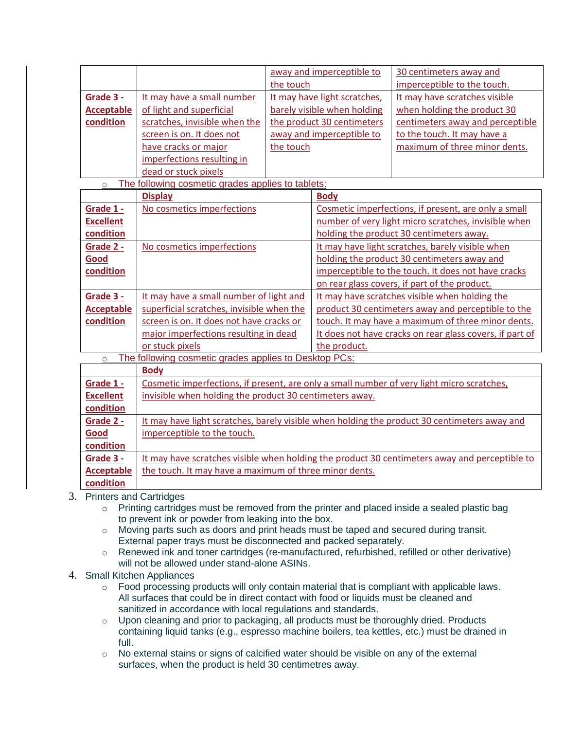|                                                                                                        |                                                                                              |                              | away and imperceptible to                                | 30 centimeters away and                                                                       |
|--------------------------------------------------------------------------------------------------------|----------------------------------------------------------------------------------------------|------------------------------|----------------------------------------------------------|-----------------------------------------------------------------------------------------------|
|                                                                                                        |                                                                                              | the touch                    |                                                          | imperceptible to the touch.                                                                   |
| Grade 3 -                                                                                              | It may have a small number                                                                   | It may have light scratches, |                                                          | It may have scratches visible                                                                 |
| <b>Acceptable</b>                                                                                      | of light and superficial                                                                     | barely visible when holding  |                                                          | when holding the product 30                                                                   |
| condition                                                                                              | scratches, invisible when the                                                                |                              | the product 30 centimeters                               | centimeters away and perceptible                                                              |
|                                                                                                        | screen is on. It does not                                                                    |                              | away and imperceptible to                                | to the touch. It may have a                                                                   |
|                                                                                                        | have cracks or major                                                                         | the touch                    |                                                          | maximum of three minor dents.                                                                 |
|                                                                                                        | imperfections resulting in                                                                   |                              |                                                          |                                                                                               |
|                                                                                                        | dead or stuck pixels                                                                         |                              |                                                          |                                                                                               |
| $\circ$                                                                                                | The following cosmetic grades applies to tablets:                                            |                              |                                                          |                                                                                               |
|                                                                                                        | <b>Display</b>                                                                               |                              | <b>Body</b>                                              |                                                                                               |
| Grade 1 -                                                                                              | No cosmetics imperfections                                                                   |                              | Cosmetic imperfections, if present, are only a small     |                                                                                               |
| <b>Excellent</b>                                                                                       |                                                                                              |                              |                                                          | number of very light micro scratches, invisible when                                          |
| condition                                                                                              |                                                                                              |                              | holding the product 30 centimeters away.                 |                                                                                               |
| Grade 2 -                                                                                              | No cosmetics imperfections                                                                   |                              | It may have light scratches, barely visible when         |                                                                                               |
| Good                                                                                                   |                                                                                              |                              | holding the product 30 centimeters away and              |                                                                                               |
| condition                                                                                              |                                                                                              |                              |                                                          | imperceptible to the touch. It does not have cracks                                           |
|                                                                                                        |                                                                                              |                              |                                                          | on rear glass covers, if part of the product.                                                 |
| Grade 3 -                                                                                              | It may have a small number of light and                                                      |                              | It may have scratches visible when holding the           |                                                                                               |
| <b>Acceptable</b>                                                                                      | superficial scratches, invisible when the                                                    |                              | product 30 centimeters away and perceptible to the       |                                                                                               |
| condition                                                                                              | screen is on. It does not have cracks or                                                     |                              | touch. It may have a maximum of three minor dents.       |                                                                                               |
|                                                                                                        | major imperfections resulting in dead                                                        |                              | It does not have cracks on rear glass covers, if part of |                                                                                               |
|                                                                                                        | or stuck pixels                                                                              |                              | the product.                                             |                                                                                               |
| $\circ$                                                                                                | The following cosmetic grades applies to Desktop PCs:                                        |                              |                                                          |                                                                                               |
|                                                                                                        | <b>Body</b>                                                                                  |                              |                                                          |                                                                                               |
| Grade 1 -                                                                                              | Cosmetic imperfections, if present, are only a small number of very light micro scratches,   |                              |                                                          |                                                                                               |
| <b>Excellent</b>                                                                                       | invisible when holding the product 30 centimeters away.                                      |                              |                                                          |                                                                                               |
| condition                                                                                              |                                                                                              |                              |                                                          |                                                                                               |
| Grade 2 -                                                                                              | It may have light scratches, barely visible when holding the product 30 centimeters away and |                              |                                                          |                                                                                               |
| Good                                                                                                   | imperceptible to the touch.                                                                  |                              |                                                          |                                                                                               |
| condition                                                                                              |                                                                                              |                              |                                                          |                                                                                               |
| Grade 3 -                                                                                              |                                                                                              |                              |                                                          | It may have scratches visible when holding the product 30 centimeters away and perceptible to |
| <b>Acceptable</b>                                                                                      | the touch. It may have a maximum of three minor dents.                                       |                              |                                                          |                                                                                               |
| condition                                                                                              |                                                                                              |                              |                                                          |                                                                                               |
| 3. Printers and Cartridges                                                                             |                                                                                              |                              |                                                          |                                                                                               |
| Printing cartridges must be removed from the printer and placed inside a sealed plastic bag<br>$\circ$ |                                                                                              |                              |                                                          |                                                                                               |

- - to prevent ink or powder from leaking into the box.
	- $\circ$  Moving parts such as doors and print heads must be taped and secured during transit. External paper trays must be disconnected and packed separately.
	- o Renewed ink and toner cartridges (re-manufactured, refurbished, refilled or other derivative) will not be allowed under stand-alone ASINs.
- 4. Small Kitchen Appliances
	- $\circ$  Food processing products will only contain material that is compliant with applicable laws. All surfaces that could be in direct contact with food or liquids must be cleaned and sanitized in accordance with local regulations and standards.
	- o Upon cleaning and prior to packaging, all products must be thoroughly dried. Products containing liquid tanks (e.g., espresso machine boilers, tea kettles, etc.) must be drained in full.
	- o No external stains or signs of calcified water should be visible on any of the external surfaces, when the product is held 30 centimetres away.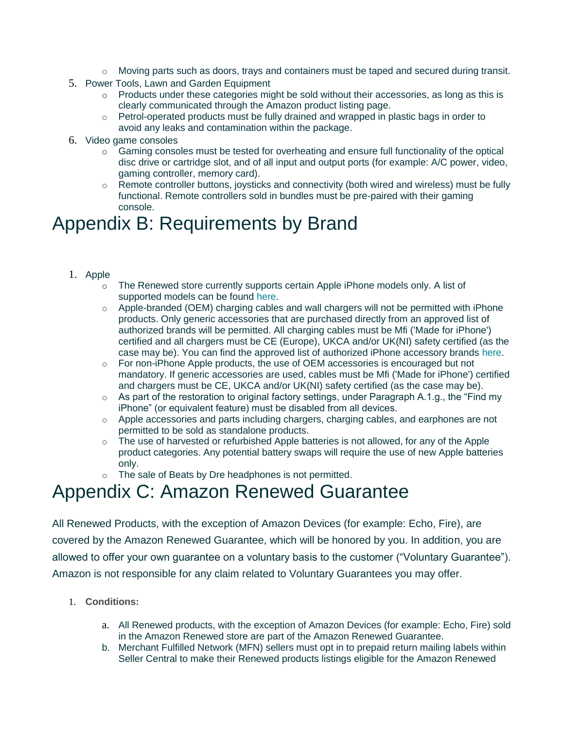- o Moving parts such as doors, trays and containers must be taped and secured during transit.
- 5. Power Tools, Lawn and Garden Equipment
	- $\circ$  Products under these categories might be sold without their accessories, as long as this is clearly communicated through the Amazon product listing page.
	- o Petrol-operated products must be fully drained and wrapped in plastic bags in order to avoid any leaks and contamination within the package.
- 6. Video game consoles
	- o Gaming consoles must be tested for overheating and ensure full functionality of the optical disc drive or cartridge slot, and of all input and output ports (for example: A/C power, video, gaming controller, memory card).
	- $\circ$  Remote controller buttons, joysticks and connectivity (both wired and wireless) must be fully functional. Remote controllers sold in bundles must be pre-paired with their gaming console.

### Appendix B: Requirements by Brand

- 1. Apple
	- o The Renewed store currently supports certain Apple iPhone models only. A list of supported models can be found [here.](https://sellercentral-europe.amazon.com/gp/help/G201648580)
	- $\circ$  Apple-branded (OEM) charging cables and wall chargers will not be permitted with iPhone products. Only generic accessories that are purchased directly from an approved list of authorized brands will be permitted. All charging cables must be Mfi ('Made for iPhone') certified and all chargers must be CE (Europe), UKCA and/or UK(NI) safety certified (as the case may be). You can find the approved list of authorized iPhone accessory brands [here.](https://sellercentral-europe.amazon.com/gp/help/G201648580)
	- $\circ$  For non-iPhone Apple products, the use of OEM accessories is encouraged but not mandatory. If generic accessories are used, cables must be Mfi ('Made for iPhone') certified and chargers must be CE, UKCA and/or UK(NI) safety certified (as the case may be).
	- $\circ$  As part of the restoration to original factory settings, under Paragraph A.1.g., the "Find my iPhone" (or equivalent feature) must be disabled from all devices.
	- $\circ$  Apple accessories and parts including chargers, charging cables, and earphones are not permitted to be sold as standalone products.
	- o The use of harvested or refurbished Apple batteries is not allowed, for any of the Apple product categories. Any potential battery swaps will require the use of new Apple batteries only.
	- o The sale of Beats by Dre headphones is not permitted.

### Appendix C: Amazon Renewed Guarantee

All Renewed Products, with the exception of Amazon Devices (for example: Echo, Fire), are covered by the Amazon Renewed Guarantee, which will be honored by you. In addition, you are allowed to offer your own guarantee on a voluntary basis to the customer ("Voluntary Guarantee"). Amazon is not responsible for any claim related to Voluntary Guarantees you may offer.

- 1. **Conditions:**
	- a. All Renewed products, with the exception of Amazon Devices (for example: Echo, Fire) sold in the Amazon Renewed store are part of the Amazon Renewed Guarantee.
	- b. Merchant Fulfilled Network (MFN) sellers must opt in to prepaid return mailing labels within Seller Central to make their Renewed products listings eligible for the Amazon Renewed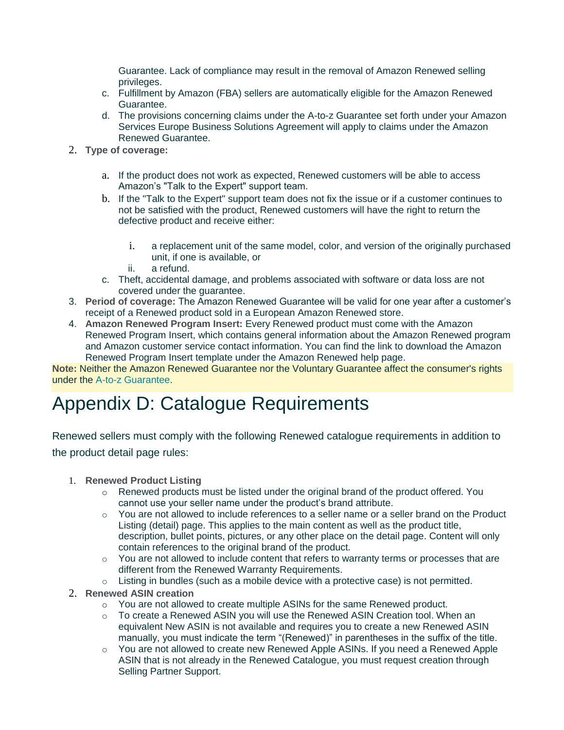Guarantee. Lack of compliance may result in the removal of Amazon Renewed selling privileges.

- c. Fulfillment by Amazon (FBA) sellers are automatically eligible for the Amazon Renewed Guarantee.
- d. The provisions concerning claims under the A-to-z Guarantee set forth under your Amazon Services Europe Business Solutions Agreement will apply to claims under the Amazon Renewed Guarantee.
- 2. **Type of coverage:**
	- a. If the product does not work as expected, Renewed customers will be able to access Amazon's "Talk to the Expert" support team.
	- b. If the "Talk to the Expert" support team does not fix the issue or if a customer continues to not be satisfied with the product, Renewed customers will have the right to return the defective product and receive either:
		- i. a replacement unit of the same model, color, and version of the originally purchased unit, if one is available, or
		- ii. a refund.
	- c. Theft, accidental damage, and problems associated with software or data loss are not covered under the guarantee.
- 3. **Period of coverage:** The Amazon Renewed Guarantee will be valid for one year after a customer's receipt of a Renewed product sold in a European Amazon Renewed store.
- 4. **Amazon Renewed Program Insert:** Every Renewed product must come with the Amazon Renewed Program Insert, which contains general information about the Amazon Renewed program and Amazon customer service contact information. You can find the link to download the Amazon Renewed Program Insert template under the Amazon Renewed help page.

**Note:** Neither the Amazon Renewed Guarantee nor the Voluntary Guarantee affect the consumer's rights under the [A-to-z Guarantee.](https://sellercentral-europe.amazon.com/gp/help/27951)

## Appendix D: Catalogue Requirements

Renewed sellers must comply with the following Renewed catalogue requirements in addition to the product detail page rules:

- 1. **Renewed Product Listing**
	- $\circ$  Renewed products must be listed under the original brand of the product offered. You cannot use your seller name under the product's brand attribute.
	- $\circ$  You are not allowed to include references to a seller name or a seller brand on the Product Listing (detail) page. This applies to the main content as well as the product title, description, bullet points, pictures, or any other place on the detail page. Content will only contain references to the original brand of the product.
	- $\circ$  You are not allowed to include content that refers to warranty terms or processes that are different from the Renewed Warranty Requirements.
	- $\circ$  Listing in bundles (such as a mobile device with a protective case) is not permitted.
- 2. **Renewed ASIN creation**
	- o You are not allowed to create multiple ASINs for the same Renewed product.
	- o To create a Renewed ASIN you will use the Renewed ASIN Creation tool. When an equivalent New ASIN is not available and requires you to create a new Renewed ASIN manually, you must indicate the term "(Renewed)" in parentheses in the suffix of the title.
	- $\circ$  You are not allowed to create new Renewed Apple ASINs. If you need a Renewed Apple ASIN that is not already in the Renewed Catalogue, you must request creation through Selling Partner Support.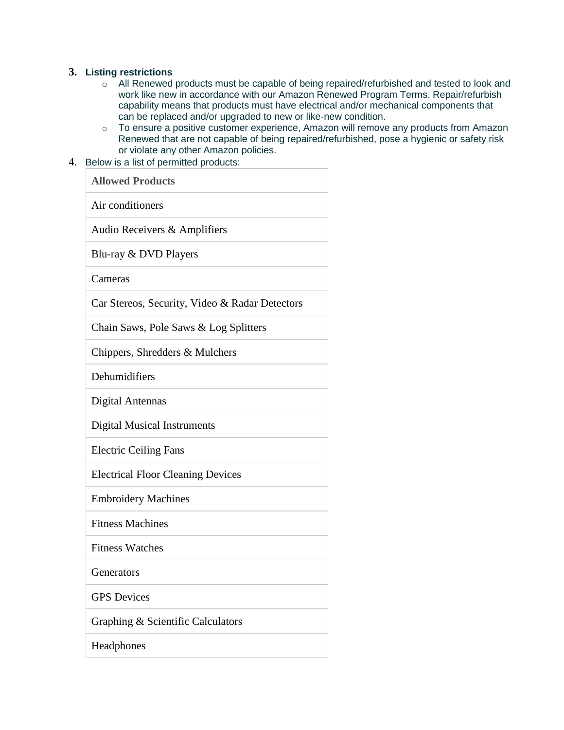#### **3. Listing restrictions**

- o All Renewed products must be capable of being repaired/refurbished and tested to look and work like new in accordance with our Amazon Renewed Program Terms. Repair/refurbish capability means that products must have electrical and/or mechanical components that can be replaced and/or upgraded to new or like-new condition.
- o To ensure a positive customer experience, Amazon will remove any products from Amazon Renewed that are not capable of being repaired/refurbished, pose a hygienic or safety risk or violate any other Amazon policies.
- 4. Below is a list of permitted products:

| <b>Allowed Products</b>                        |  |  |
|------------------------------------------------|--|--|
| Air conditioners                               |  |  |
| Audio Receivers & Amplifiers                   |  |  |
| Blu-ray & DVD Players                          |  |  |
| Cameras                                        |  |  |
| Car Stereos, Security, Video & Radar Detectors |  |  |
| Chain Saws, Pole Saws & Log Splitters          |  |  |
| Chippers, Shredders & Mulchers                 |  |  |
| Dehumidifiers                                  |  |  |
| Digital Antennas                               |  |  |
| <b>Digital Musical Instruments</b>             |  |  |
| <b>Electric Ceiling Fans</b>                   |  |  |
| <b>Electrical Floor Cleaning Devices</b>       |  |  |
| <b>Embroidery Machines</b>                     |  |  |
| <b>Fitness Machines</b>                        |  |  |
| <b>Fitness Watches</b>                         |  |  |
| Generators                                     |  |  |
| <b>GPS</b> Devices                             |  |  |
| Graphing & Scientific Calculators              |  |  |
| Headphones                                     |  |  |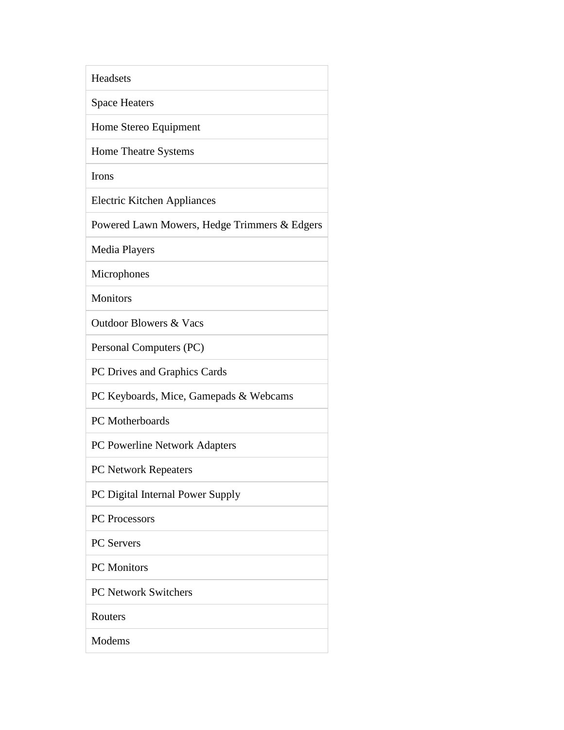| Headsets                                     |
|----------------------------------------------|
| <b>Space Heaters</b>                         |
| Home Stereo Equipment                        |
| Home Theatre Systems                         |
| Irons                                        |
| <b>Electric Kitchen Appliances</b>           |
| Powered Lawn Mowers, Hedge Trimmers & Edgers |
| <b>Media Players</b>                         |
| Microphones                                  |
| <b>Monitors</b>                              |
| <b>Outdoor Blowers &amp; Vacs</b>            |
| Personal Computers (PC)                      |
| PC Drives and Graphics Cards                 |
| PC Keyboards, Mice, Gamepads & Webcams       |
| PC Motherboards                              |
| PC Powerline Network Adapters                |
| PC Network Repeaters                         |
| PC Digital Internal Power Supply             |
| PC Processors                                |
| <b>PC</b> Servers                            |
| <b>PC</b> Monitors                           |
| <b>PC Network Switchers</b>                  |
| Routers                                      |
| Modems                                       |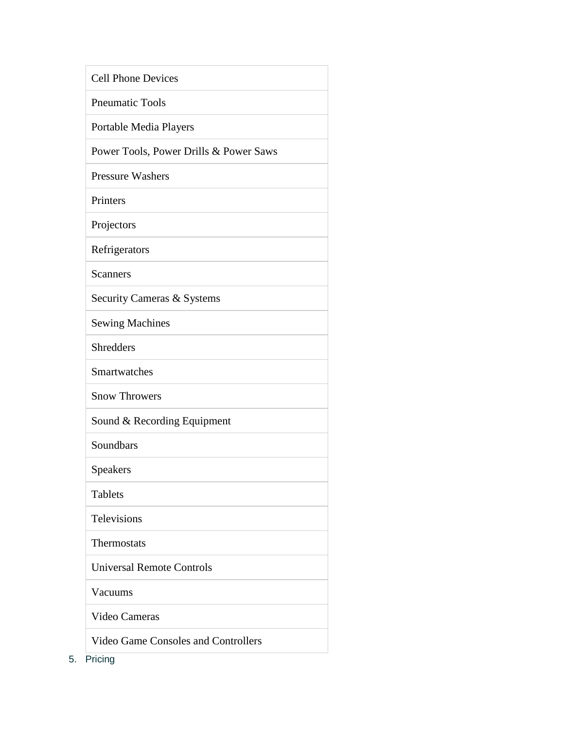| <b>Cell Phone Devices</b>                  |  |  |
|--------------------------------------------|--|--|
| <b>Pneumatic Tools</b>                     |  |  |
| Portable Media Players                     |  |  |
| Power Tools, Power Drills & Power Saws     |  |  |
| <b>Pressure Washers</b>                    |  |  |
| Printers                                   |  |  |
| Projectors                                 |  |  |
| Refrigerators                              |  |  |
| <b>Scanners</b>                            |  |  |
| Security Cameras & Systems                 |  |  |
| <b>Sewing Machines</b>                     |  |  |
| <b>Shredders</b>                           |  |  |
| Smartwatches                               |  |  |
| <b>Snow Throwers</b>                       |  |  |
| Sound & Recording Equipment                |  |  |
| Soundbars                                  |  |  |
| <b>Speakers</b>                            |  |  |
| <b>Tablets</b>                             |  |  |
| <b>Televisions</b>                         |  |  |
| Thermostats                                |  |  |
| <b>Universal Remote Controls</b>           |  |  |
| Vacuums                                    |  |  |
| Video Cameras                              |  |  |
| <b>Video Game Consoles and Controllers</b> |  |  |

5. Pricing